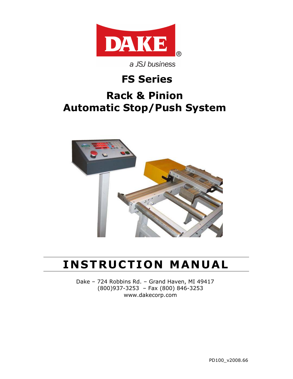

a JSJ business

## **FS Series**

# **Rack & Pinion Automatic Stop/Push System**



# **INSTRUCTION MANUAL**

Dake – 724 Robbins Rd. – Grand Haven, MI 49417 (800)937-3253 – Fax (800) 846-3253 www.dakecorp.com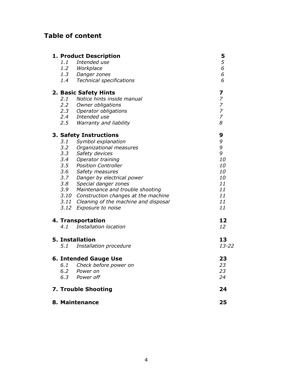## **Table of content**

|                              | 1. Product Description                    | 5                |
|------------------------------|-------------------------------------------|------------------|
| 1.1                          | Intended use                              | 5                |
|                              | 1.2 Workplace                             | 6                |
|                              | 1.3 Danger zones                          | 6                |
|                              | 1.4 Technical specifications              | 6                |
| 2. Basic Safety Hints        |                                           | 7                |
| 2.1                          | Notice hints inside manual                | $\boldsymbol{7}$ |
|                              | 2.2 Owner obligations                     | $\boldsymbol{7}$ |
|                              | 2.3 Operator obligations                  | $\overline{z}$   |
|                              | 2.4 Intended use                          | $\boldsymbol{7}$ |
|                              | 2.5 Warranty and liability                | 8                |
| 3. Safety Instructions       |                                           | 9                |
| 3.1                          | Symbol explanation                        | 9                |
| 3.2                          | Organizational measures                   | 9                |
| 3.3                          | Safety devices                            | 9                |
|                              | 3.4 Operator training                     | 10               |
|                              | 3.5 Position Controller                   | 10               |
| 3.6                          | Safety measures                           | 10               |
|                              | 3.7 Danger by electrical power            | 10               |
|                              | 3.8 Special danger zones                  | 11               |
|                              | 3.9 Maintenance and trouble shooting      | 11               |
|                              | 3.10 Construction changes at the machine  | 11               |
|                              | 3.11 Cleaning of the machine and disposal | 11               |
| 3.12                         | Exposure to noise                         | 11               |
| 4. Transportation            |                                           | 12               |
|                              | 4.1 Installation location                 | 12               |
|                              | <b>5. Installation</b>                    | 13               |
| 5.1                          | Installation procedure                    | $13 - 22$        |
| <b>6. Intended Gauge Use</b> |                                           | 23               |
| 6.1                          | Check before power on                     | 23               |
| 6.2                          | Power on                                  | 23               |
| 6.3                          | Power off                                 | 24               |
|                              | <b>7. Trouble Shooting</b>                | 24               |
| 8. Maintenance               |                                           |                  |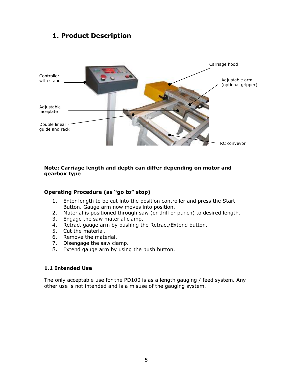#### **1. Product Description**



#### **Note: Carriage length and depth can differ depending on motor and gearbox type**

#### **Operating Procedure (as "go to" stop)**

- 1. Enter length to be cut into the position controller and press the Start Button. Gauge arm now moves into position.
- 2. Material is positioned through saw (or drill or punch) to desired length.
- 3. Engage the saw material clamp.
- 4. Retract gauge arm by pushing the Retract/Extend button.
- 5. Cut the material.
- 6. Remove the material.
- 7. Disengage the saw clamp.
- 8. Extend gauge arm by using the push button.

#### **1.1 Intended Use**

The only acceptable use for the PD100 is as a length gauging / feed system. Any other use is not intended and is a misuse of the gauging system.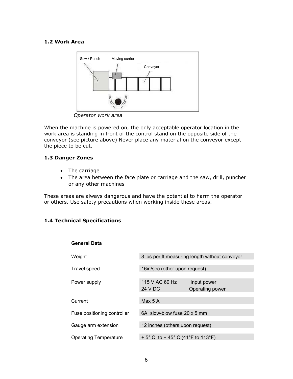#### **1.2 Work Area**



 *Operator work area* 

When the machine is powered on, the only acceptable operator location in the work area is standing in front of the control stand on the opposite side of the conveyor (see picture above) Never place any material on the conveyor except the piece to be cut.

#### **1.3 Danger Zones**

- The carriage
- The area between the face plate or carriage and the saw, drill, puncher or any other machines

These areas are always dangerous and have the potential to harm the operator or others. Use safety precautions when working inside these areas.

#### **1.4 Technical Specifications**

**General Data** 

| Weight                       | 8 lbs per ft measuring length without conveyor |                 |  |
|------------------------------|------------------------------------------------|-----------------|--|
|                              |                                                |                 |  |
| Travel speed                 | 16in/sec (other upon request)                  |                 |  |
|                              |                                                |                 |  |
| Power supply                 | 115 V AC 60 Hz                                 | Input power     |  |
|                              | 24 V DC                                        | Operating power |  |
|                              |                                                |                 |  |
| Current                      | Max 5 A                                        |                 |  |
|                              |                                                |                 |  |
| Fuse positioning controller  | 6A, slow-blow fuse 20 x 5 mm                   |                 |  |
|                              |                                                |                 |  |
| Gauge arm extension          | 12 inches (others upon request)                |                 |  |
|                              |                                                |                 |  |
| <b>Operating Temperature</b> | + 5° C to + 45° C (41°F to 113°F)              |                 |  |
|                              |                                                |                 |  |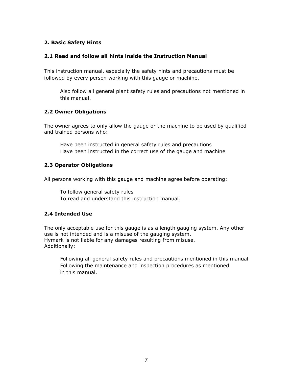#### **2. Basic Safety Hints**

#### **2.1 Read and follow all hints inside the Instruction Manual**

This instruction manual, especially the safety hints and precautions must be followed by every person working with this gauge or machine.

Also follow all general plant safety rules and precautions not mentioned in this manual.

#### **2.2 Owner Obligations**

The owner agrees to only allow the gauge or the machine to be used by qualified and trained persons who:

Have been instructed in general safety rules and precautions Have been instructed in the correct use of the gauge and machine

#### **2.3 Operator Obligations**

All persons working with this gauge and machine agree before operating:

To follow general safety rules

To read and understand this instruction manual.

#### **2.4 Intended Use**

The only acceptable use for this gauge is as a length gauging system. Any other use is not intended and is a misuse of the gauging system. Hymark is not liable for any damages resulting from misuse. Additionally:

Following all general safety rules and precautions mentioned in this manual Following the maintenance and inspection procedures as mentioned in this manual.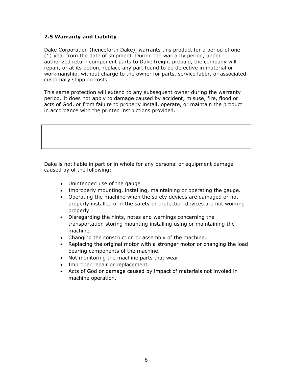#### **2.5 Warranty and Liability**

Dake Corporation (henceforth Dake), warrants this product for a period of one (1) year from the date of shipment. During the warranty period, under authorized return component parts to Dake freight prepaid, the company will repair, or at its option, replace any part found to be defective in material or workmanship, without charge to the owner for parts, service labor, or associated customary shipping costs.

This same protection will extend to any subsequent owner during the warranty period. It does not apply to damage caused by accident, misuse, fire, flood or acts of God, or from failure to properly install, operate, or maintain the product in accordance with the printed instructions provided.

Dake is not liable in part or in whole for any personal or equipment damage caused by of the following:

- Unintended use of the gauge
- Improperly mounting, installing, maintaining or operating the gauge.
- Operating the machine when the safety devices are damaged or not properly installed or if the safety or protection devices are not working properly.
- Disregarding the hints, notes and warnings concerning the transportation storing mounting installing using or maintaining the machine.
- Changing the construction or assembly of the machine.
- Replacing the original motor with a stronger motor or changing the load bearing components of the machine.
- Not monitoring the machine parts that wear.
- Improper repair or replacement.
- Acts of God or damage caused by impact of materials not involed in machine operation.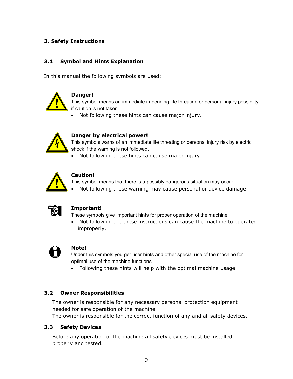#### **3. Safety Instructions**

#### **3.1 Symbol and Hints Explanation**

In this manual the following symbols are used:



#### **Danger!**

This symbol means an immediate impending life threating or personal injury possiblity if caution is not taken.

• Not following these hints can cause major injury.



#### **Danger by electrical power!**

This symbols warns of an immediate life threating or personal injury risk by electric shock if the warning is not followed.

• Not following these hints can cause major injury.



#### **Caution!**

This symbol means that there is a possibly dangerous situation may occur. • Not following these warning may cause personal or device damage.



#### **Important!**

These symbols give important hints for proper operation of the machine.

• Not following the these instructions can cause the machine to operated improperly.



#### **Note!**

Under this symbols you get user hints and other special use of the machine for optimal use of the machine functions.

• Following these hints will help with the optimal machine usage.

#### **3.2 Owner Responsibilities**

The owner is responsible for any necessary personal protection equipment needed for safe operation of the machine.

The owner is responsible for the correct function of any and all safety devices.

#### **3.3 Safety Devices**

Before any operation of the machine all safety devices must be installed properly and tested.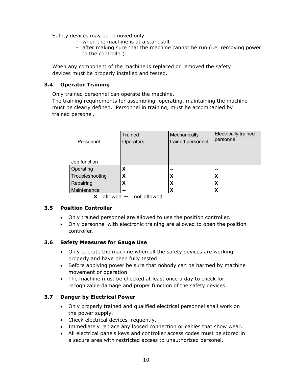Safety devices may be removed only

- when the machine is at a standstill
- after making sure that the machine cannot be run (i.e. removing power to the controller).

When any component of the machine is replaced or removed the safety devices must be properly installed and tested.

#### **3.4 Operator Training**

Only trained personnel can operate the machine.

The training requirements for assembling, operating, maintaining the machine must be clearly defined. Personnel in training, must be accompanied by trained personel.

| Personnel       | Trained<br>Operators | Mechanically<br>trained personnel | <b>Electrically trained</b><br>personnel |
|-----------------|----------------------|-----------------------------------|------------------------------------------|
| Job function    |                      |                                   |                                          |
| Operating       | х                    | --                                | --                                       |
| Troubleshooting | x                    | X                                 | χ                                        |
| Repairing       | х                    | X                                 | X                                        |
| Maintenance     | --                   | х                                 |                                          |

**X**...allowed **--**...not allowed

#### **3.5 Position Controller**

- Only trained personnel are allowed to use the position controller.
- Only personnel with electronic training are allowed to open the position controller.

#### **3.6 Safety Measures for Gauge Use**

- Only operate the machine when all the safety devices are working properly and have been fully tested.
- Before applying power be sure that nobody can be harmed by machine movement or operation.
- The machine must be checked at least once a day to check for recognizable damage and proper function of the safety devices.

#### **3.7 Danger by Electrical Power**

- Only properly trained and qualified electrical personnel shall work on the power supply.
- Check electrical devices frequently.
- Immediately replace any loosed connection or cables that show wear.
- All electrical panels keys and controller access codes must be stored in a secure area with restricted access to unauthorized personel.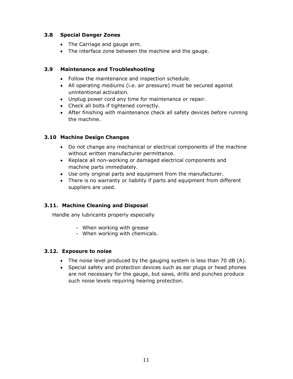#### **3.8 Special Danger Zones**

- The Carriage and gauge arm.
- The interface zone between the machine and the gauge.

#### **3.9 Maintenance and Troubleshooting**

- Follow the maintenance and inspection schedule.
- All operating mediums (i.e. air pressure) must be secured against unintentional activation.
- Unplug power cord any time for maintenance or repair.
- Check all bolts if tightened correctly.
- After finishing with maintenance check all safety devices before running the machine.

#### **3.10 Machine Design Changes**

- Do not change any mechanical or electrical components of the machine without written manufacturer permittance.
- Replace all non-working or damaged electrical components and machine parts immediately.
- Use only original parts and equipment from the manufacturer.
- There is no warranty or liability if parts and equipment from different suppliers are used.

#### **3.11. Machine Cleaning and Disposal**

Handle any lubricants properly especially

- When working with grease
- When working with chemicals.

#### **3.12. Exposure to noise**

- The noise level produced by the gauging system is less than 70 dB (A).
- Special safety and protection devices such as ear plugs or head phones are not necessary for the gauge, but saws, drills and punches produce such noise levels requiring hearing protection.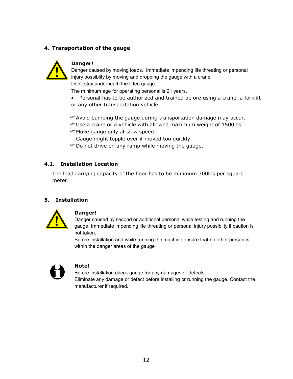#### **4. Transportation of the gauge**



#### **Danger!**

Danger caused by moving loads. Immediate impending life threating or personal injury possiblity by moving and dropping the gauge with a crane. Don't stay underneath the lifted gauge.

The minimum age for operating personal is 21 years.

• Personal has to be authorized and trained before using a crane, a forklift or any other transportation vehicle

Avoid bumping the gauge during transportation damage may occur.

- Use a crane or a vehicle with allowed maximum weight of 1500lbs.
- Move gauge only at slow speed.

Gauge might topple over if moved too quickly.

**Prophendifully** Do not drive on any ramp while moving the gauge.

#### **4.1. Installation Location**

The load carrying capacity of the floor has to be minimum 300lbs per square meter.

#### **5. Installation**



#### **Danger!**

Danger caused by second or additional personal while testing and running the gauge. Immediate impending life threating or personal injury possiblity if caution is not taken.

Before installation and while running the machine ensure that no other person is within the danger areas of the gauge



#### **Note!**

Before installation check gauge for any damages or defects Eliminate any damage or defect before installing or running the gauge. Contact the manufacturer if required.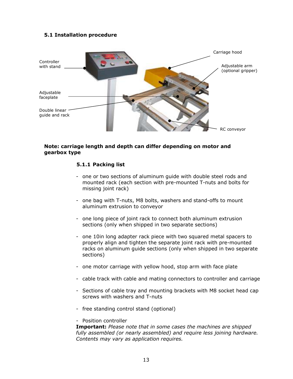#### **5.1 Installation procedure**



#### **Note: carriage length and depth can differ depending on motor and gearbox type**

#### **5.1.1 Packing list**

- one or two sections of aluminum guide with double steel rods and mounted rack (each section with pre-mounted T-nuts and bolts for missing joint rack)
- one bag with T-nuts, M8 bolts, washers and stand-offs to mount aluminum extrusion to conveyor
- one long piece of joint rack to connect both aluminum extrusion sections (only when shipped in two separate sections)
- one 10in long adapter rack piece with two squared metal spacers to properly align and tighten the separate joint rack with pre-mounted racks on aluminum guide sections (only when shipped in two separate sections)
- one motor carriage with yellow hood, stop arm with face plate
- cable track with cable and mating connectors to controller and carriage
- Sections of cable tray and mounting brackets with M8 socket head cap screws with washers and T-nuts
- free standing control stand (optional)

#### - Position controller

**Important:** *Please note that in some cases the machines are shipped fully assembled (or nearly assembled) and require less joining hardware. Contents may vary as application requires.*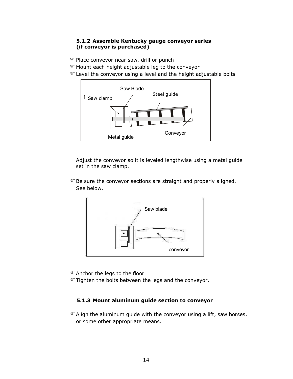#### **5.1.2 Assemble Kentucky gauge conveyor series (if conveyor is purchased)**

Place conveyor near saw, drill or punch

Mount each height adjustable leg to the conveyor

Level the conveyor using a level and the height adjustable bolts



Adjust the conveyor so it is leveled lengthwise using a metal guide set in the saw clamp.

**Be sure the conveyor sections are straight and properly aligned.** See below.



Anchor the legs to the floor

Tighten the bolts between the legs and the conveyor.

#### **5.1.3 Mount aluminum guide section to conveyor**

Align the aluminum guide with the conveyor using a lift, saw horses, or some other appropriate means.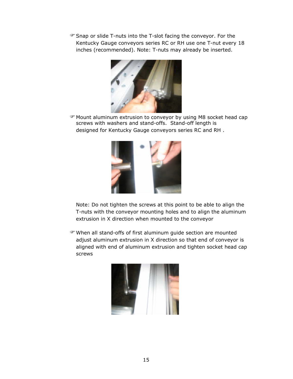Snap or slide T-nuts into the T-slot facing the conveyor. For the Kentucky Gauge conveyors series RC or RH use one T-nut every 18 inches (recommended). Note: T-nuts may already be inserted.



Mount aluminum extrusion to conveyor by using M8 socket head cap screws with washers and stand-offs. Stand-off length is designed for Kentucky Gauge conveyors series RC and RH .



Note: Do not tighten the screws at this point to be able to align the T-nuts with the conveyor mounting holes and to align the aluminum extrusion in X direction when mounted to the conveyor

When all stand-offs of first aluminum guide section are mounted adjust aluminum extrusion in X direction so that end of conveyor is aligned with end of aluminum extrusion and tighten socket head cap screws

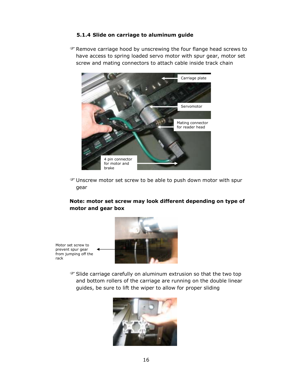#### **5.1.4 Slide on carriage to aluminum guide**

Remove carriage hood by unscrewing the four flange head screws to have access to spring loaded servo motor with spur gear, motor set screw and mating connectors to attach cable inside track chain



Unscrew motor set screw to be able to push down motor with spur gear

#### **Note: motor set screw may look different depending on type of motor and gear box**



Motor set screw to prevent spur gear from jumping off the rack

> Slide carriage carefully on aluminum extrusion so that the two top and bottom rollers of the carriage are running on the double linear guides, be sure to lift the wiper to allow for proper sliding

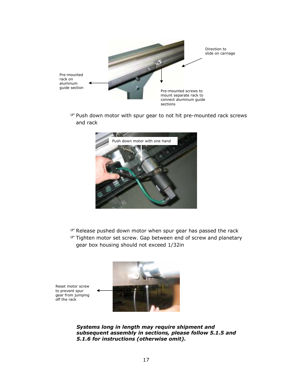

Push down motor with spur gear to not hit pre-mounted rack screws and rack



- The Release pushed down motor when spur gear has passed the rack
- **Tighten motor set screw. Gap between end of screw and planetary** gear box housing should not exceed 1/32in

Reset motor screw to prevent spur gear from jumping off the rack



*Systems long in length may require shipment and subsequent assembly in sections, please follow 5.1.5 and 5.1.6 for instructions (otherwise omit).*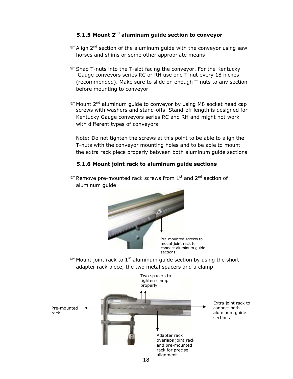#### **5.1.5 Mount 2nd aluminum guide section to conveyor**

- Align 2nd section of the aluminum guide with the conveyor using saw horses and shims or some other appropriate means
- Snap T-nuts into the T-slot facing the conveyor. For the Kentucky Gauge conveyors series RC or RH use one T-nut every 18 inches (recommended). Make sure to slide on enough T-nuts to any section before mounting to conveyor
- Mount 2nd aluminum guide to conveyor by using M8 socket head cap screws with washers and stand-offs. Stand-off length is designed for Kentucky Gauge conveyors series RC and RH and might not work with different types of conveyors

Note: Do not tighten the screws at this point to be able to align the T-nuts with the conveyor mounting holes and to be able to mount the extra rack piece properly between both aluminum guide sections

#### **5.1.6 Mount joint rack to aluminum guide sections**

 $\mathcal{F}$  Remove pre-mounted rack screws from  $1^{st}$  and  $2^{nd}$  section of aluminum guide



Pre-mounted screws to mount joint rack to connect aluminum guide sections

<sup>®</sup> Mount joint rack to 1<sup>st</sup> aluminum guide section by using the short adapter rack piece, the two metal spacers and a clamp

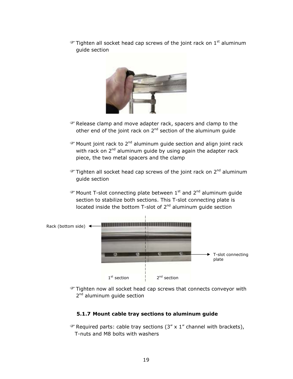$\mathcal{F}$  Tighten all socket head cap screws of the joint rack on  $1^{st}$  aluminum guide section



- The Release clamp and move adapter rack, spacers and clamp to the other end of the joint rack on  $2^{nd}$  section of the aluminum guide
- $\mathcal{P}$  Mount joint rack to 2<sup>nd</sup> aluminum guide section and align joint rack with rack on  $2^{nd}$  aluminum quide by using again the adapter rack piece, the two metal spacers and the clamp
- $\mathcal{F}$  Tighten all socket head cap screws of the joint rack on 2<sup>nd</sup> aluminum guide section
- $\mathcal{P}$  Mount T-slot connecting plate between 1<sup>st</sup> and 2<sup>nd</sup> aluminum guide section to stabilize both sections. This T-slot connecting plate is located inside the bottom T-slot of 2<sup>nd</sup> aluminum guide section



Tighten now all socket head cap screws that connects conveyor with 2<sup>nd</sup> aluminum guide section

#### **5.1.7 Mount cable tray sections to aluminum guide**

 $\mathcal{F}$  Required parts: cable tray sections (3" x 1" channel with brackets), T-nuts and M8 bolts with washers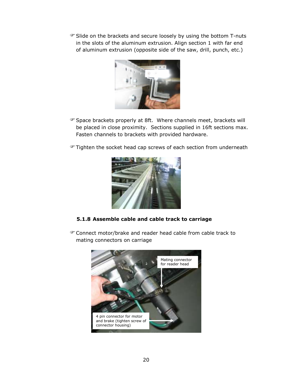Slide on the brackets and secure loosely by using the bottom T-nuts in the slots of the aluminum extrusion. Align section 1 with far end of aluminum extrusion (opposite side of the saw, drill, punch, etc.)



- Space brackets properly at 8ft. Where channels meet, brackets will be placed in close proximity. Sections supplied in 16ft sections max. Fasten channels to brackets with provided hardware.
- Tighten the socket head cap screws of each section from underneath



- **5.1.8 Assemble cable and cable track to carriage**
- Connect motor/brake and reader head cable from cable track to mating connectors on carriage

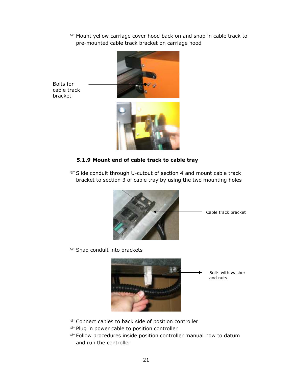Mount yellow carriage cover hood back on and snap in cable track to pre-mounted cable track bracket on carriage hood



Bolts for cable track bracket



#### **5.1.9 Mount end of cable track to cable tray**

Slide conduit through U-cutout of section 4 and mount cable track bracket to section 3 of cable tray by using the two mounting holes



Snap conduit into brackets



Connect cables to back side of position controller

- Plug in power cable to position controller
- Follow procedures inside position controller manual how to datum and run the controller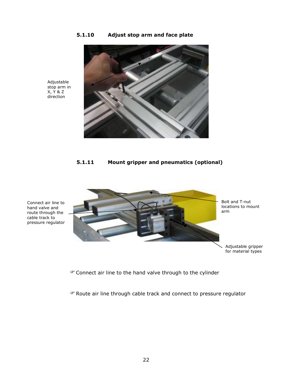#### **5.1.10 Adjust stop arm and face plate**



Adjustable stop arm in X, Y & Z direction

#### **5.1.11 Mount gripper and pneumatics (optional)**



Connect air line to hand valve and route through the cable track to pressure regulator

Connect air line to the hand valve through to the cylinder

Route air line through cable track and connect to pressure regulator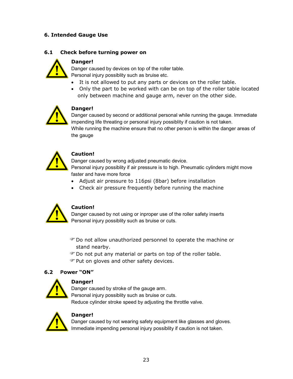#### **6. Intended Gauge Use**

#### **6.1 Check before turning power on**



## Danger caused by devices on top of the roller table.

Personal injury possiblity such as bruise etc.

- It is not allowed to put any parts or devices on the roller table.
- Only the part to be worked with can be on top of the roller table located only between machine and gauge arm, never on the other side.



#### **Danger!**

**Danger!** 

Danger caused by second or additional personal while running the gauge. Immediate impending life threating or personal injury possiblity if caution is not taken. While running the machine ensure that no other person is within the danger areas of the gauge



#### **Caution!**

Danger caused by wrong adjusted pneumatic device.

Personal injury possiblity if air pressure is to high. Pneumatic cylinders might move faster and have more force

- Adjust air pressure to 116psi (8bar) before installation
- Check air pressure frequently before running the machine



#### **Caution!**

Danger caused by not using or inproper use of the roller safety inserts Personal injury possiblity such as bruise or cuts.

- Do not allow unauthorized personnel to operate the machine or stand nearby.
- Do not put any material or parts on top of the roller table.
- Put on gloves and other safety devices.

#### **6.2 Power "ON"**



#### **Danger!**

Danger caused by stroke of the gauge arm. Personal injury possiblity such as bruise or cuts. Reduce cylinder stroke speed by adjusting the throttle valve.



#### **Danger!**

Danger caused by not wearing safety equipment like glasses and gloves. Immediate impending personal injury possiblity if caution is not taken.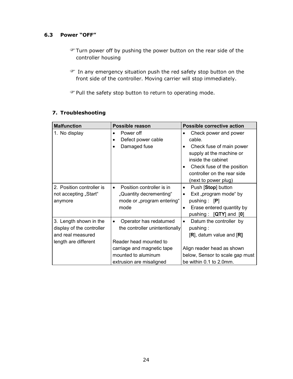#### **6.3 Power "OFF"**

- Turn power off by pushing the power button on the rear side of the controller housing
- In any emergency situation push the red safety stop button on the front side of the controller. Moving carrier will stop immediately.

Pull the safety stop button to return to operating mode.

#### **7. Troubleshooting**

| <b>Malfunction</b>                                                                               | Possible reason                                                                                                                                                                  | <b>Possible corrective action</b>                                                                                                                                                                            |  |
|--------------------------------------------------------------------------------------------------|----------------------------------------------------------------------------------------------------------------------------------------------------------------------------------|--------------------------------------------------------------------------------------------------------------------------------------------------------------------------------------------------------------|--|
| 1. No display                                                                                    | Power off<br>Defect power cable<br>Damaged fuse                                                                                                                                  | Check power and power<br>٠<br>cable.<br>Check fuse of main power<br>٠<br>supply at the machine or<br>inside the cabinet<br>Check fuse of the position<br>controller on the rear side<br>(next to power plug) |  |
| 2. Position controller is<br>not accepting "Start"<br>anymore                                    | Position controller is in<br>$\bullet$<br>"Quantity decrementing"<br>mode or "program entering"<br>mode                                                                          | Push [Stop] button<br>٠<br>Exit "program mode" by<br>٠<br>pushing : $[P]$<br>Erase entered quantity by<br>pushing: $[QTY]$ and $[0]$                                                                         |  |
| 3. Length shown in the<br>display of the controller<br>and real measured<br>length are different | Operator has redatumed<br>$\bullet$<br>the controller unintentionally<br>Reader head mounted to<br>carriage and magnetic tape<br>mounted to aluminum<br>extrusion are misaligned | Datum the controller by<br>٠<br>pushing:<br>$[R]$ , datum value and $[R]$<br>Align reader head as shown<br>below, Sensor to scale gap must<br>be within 0.1 to 2.0mm.                                        |  |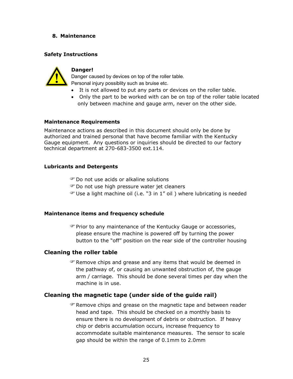#### **8. Maintenance**

#### **Safety Instructions**



#### **Danger!**

Danger caused by devices on top of the roller table. Personal injury possiblity such as bruise etc.

- It is not allowed to put any parts or devices on the roller table.
- Only the part to be worked with can be on top of the roller table located only between machine and gauge arm, never on the other side.

#### **Maintenance Requirements**

Maintenance actions as described in this document should only be done by authorized and trained personal that have become familiar with the Kentucky Gauge equipment. Any questions or inquiries should be directed to our factory technical department at 270-683-3500 ext.114.

#### **Lubricants and Detergents**

- Do not use acids or alkaline solutions
- **Pro not use high pressure water jet cleaners**
- $\mathcal{F}$  Use a light machine oil (i.e. "3 in 1" oil) where lubricating is needed

#### **Maintenance items and frequency schedule**

Prior to any maintenance of the Kentucky Gauge or accessories, please ensure the machine is powered off by turning the power button to the "off" position on the rear side of the controller housing

#### **Cleaning the roller table**

**P** Remove chips and grease and any items that would be deemed in the pathway of, or causing an unwanted obstruction of, the gauge arm / carriage. This should be done several times per day when the machine is in use.

#### **Cleaning the magnetic tape (under side of the guide rail)**

Remove chips and grease on the magnetic tape and between reader head and tape. This should be checked on a monthly basis to ensure there is no development of debris or obstruction. If heavy chip or debris accumulation occurs, increase frequency to accommodate suitable maintenance measures. The sensor to scale gap should be within the range of 0.1mm to 2.0mm